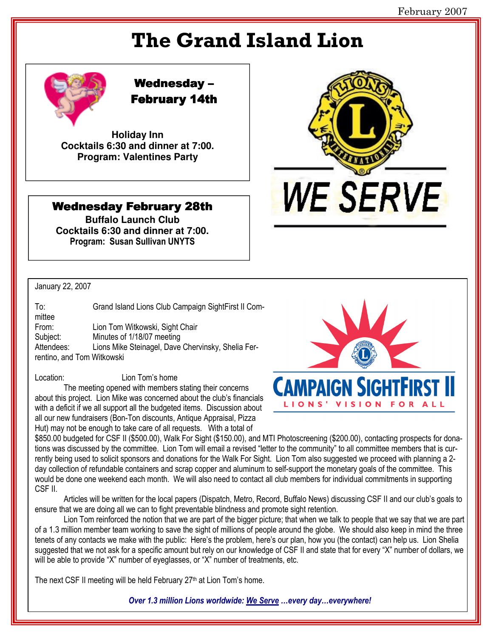# **The Grand Island Lion**



# **Wednesday-February 14th**

**Holiday Inn** Cocktails 6:30 and dinner at 7:00. **Program: Valentines Party** 

## **Wednesday February 28th**

**Buffalo Launch Club** Cocktails 6:30 and dinner at 7:00. Program: Susan Sullivan UNYTS

### January 22, 2007

Location:

 $To:$ Grand Island Lions Club Campaign SightFirst II Committee From: Lion Tom Witkowski, Sight Chair Subiect: Minutes of 1/18/07 meeting Lions Mike Steinagel, Dave Chervinsky, Shelia Fer-Attendees: rentino, and Tom Witkowski

Lion Tom's home

The meeting opened with members stating their concerns about this project. Lion Mike was concerned about the club's financials with a deficit if we all support all the budgeted items. Discussion about all our new fundraisers (Bon-Ton discounts, Antique Appraisal, Pizza Hut) may not be enough to take care of all requests. With a total of



**WE SERVE** 

\$850.00 budgeted for CSF II (\$500.00), Walk For Sight (\$150.00), and MTI Photoscreening (\$200.00), contacting prospects for donations was discussed by the committee. Lion Tom will email a revised "letter to the community" to all committee members that is currently being used to solicit sponsors and donations for the Walk For Sight. Lion Tom also suggested we proceed with planning a 2day collection of refundable containers and scrap copper and aluminum to self-support the monetary goals of the committee. This would be done one weekend each month. We will also need to contact all club members for individual commitments in supporting CSF II.

Articles will be written for the local papers (Dispatch, Metro, Record, Buffalo News) discussing CSF II and our club's goals to ensure that we are doing all we can to fight preventable blindness and promote sight retention.

Lion Tom reinforced the notion that we are part of the bigger picture; that when we talk to people that we say that we are part of a 1.3 million member team working to save the sight of millions of people around the globe. We should also keep in mind the three tenets of any contacts we make with the public: Here's the problem, here's our plan, how you (the contact) can help us. Lion Shelia suggested that we not ask for a specific amount but rely on our knowledge of CSF II and state that for every "X" number of dollars, we will be able to provide "X" number of eyeglasses, or "X" number of treatments, etc.

The next CSF II meeting will be held February 27<sup>th</sup> at Lion Tom's home.

Over 1.3 million Lions worldwide: We Serve ...every day...everywhere!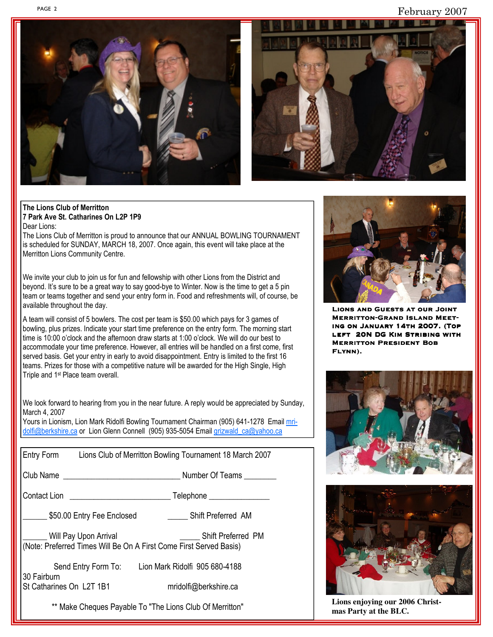February 2007





#### The Lions Club of Merritton 7 Park Ave St. Catharines On L2P 1P9 Dear Lions:

The Lions Club of Merritton is proud to announce that our ANNUAL BOWLING TOURNAMENT is scheduled for SUNDAY, MARCH 18, 2007. Once again, this event will take place at the Merritton Lions Community Centre.

We invite your club to join us for fun and fellowship with other Lions from the District and beyond. It's sure to be a great way to say good-bye to Winter. Now is the time to get a 5 pin team or teams together and send your entry form in. Food and refreshments will, of course, be available throughout the day.

A team will consist of 5 bowlers. The cost per team is \$50.00 which pays for 3 games of bowling, plus prizes. Indicate your start time preference on the entry form. The morning start time is 10:00 o'clock and the afternoon draw starts at 1:00 o'clock. We will do our best to accommodate your time preference. However, all entries will be handled on a first come, first served basis. Get your entry in early to avoid disappointment. Entry is limited to the first 16 teams. Prizes for those with a competitive nature will be awarded for the High Single, High Triple and 1<sup>st</sup> Place team overall.

We look forward to hearing from you in the near future. A reply would be appreciated by Sunday, March 4, 2007

Yours in Lionism, Lion Mark Ridolfi Bowling Tournament Chairman (905) 641-1278 Email mridolfi@berkshire.ca or Lion Glenn Connell (905) 935-5054 Email grizwald ca@yahoo.ca

|                                                                                             |  | Entry Form Lions Club of Merritton Bowling Tournament 18 March 2007 |
|---------------------------------------------------------------------------------------------|--|---------------------------------------------------------------------|
| Club Name                                                                                   |  | Number Of Teams                                                     |
|                                                                                             |  |                                                                     |
| 550.00 Entry Fee Enclosed                                                                   |  | <b>Shift Preferred AM</b>                                           |
| Will Pay Upon Arrival<br>(Note: Preferred Times Will Be On A First Come First Served Basis) |  | <b>Shift Preferred PM</b>                                           |
| 30 Fairburn<br>St Catharines On L2T 1B1                                                     |  | Send Entry Form To: Lion Mark Ridolfi 905 680-4188                  |
|                                                                                             |  | mridolfi@berkshire.ca                                               |
| ** Make Cheques Payable To "The Lions Club Of Merritton"                                    |  |                                                                     |



**LIONS AND GUESTS AT OUR JOINT MERRITTON-GRAND ISLAND MEET-**ING ON JANUARY 14TH 2007. (TOP LEFT 20N DG KIM STRIBING WITH **MERRITTON PRESIDENT BOB** FLYNN).





Lions enjoying our 2006 Christmas Party at the BLC.